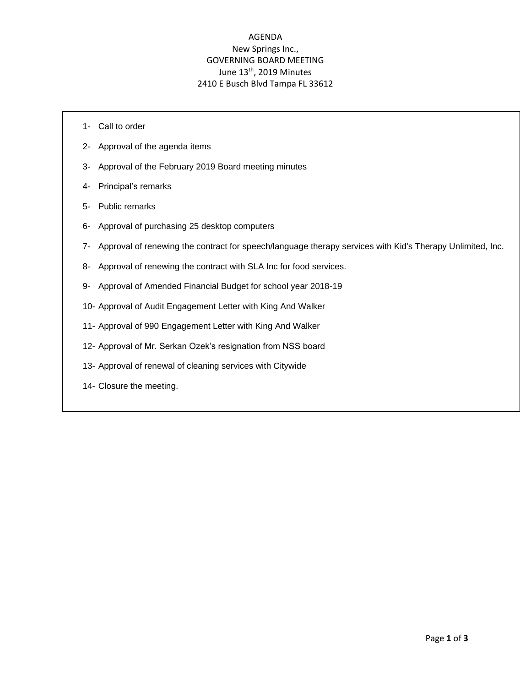## AGENDA New Springs Inc., GOVERNING BOARD MEETING June 13<sup>th</sup>, 2019 Minutes 2410 E Busch Blvd Tampa FL 33612

- 1- Call to order
- 2- Approval of the agenda items
- 3- Approval of the February 2019 Board meeting minutes
- 4- Principal's remarks
- 5- Public remarks
- 6- Approval of purchasing 25 desktop computers
- 7- Approval of renewing the contract for speech/language therapy services with Kid's Therapy Unlimited, Inc.
- 8- Approval of renewing the contract with SLA Inc for food services.
- 9- Approval of Amended Financial Budget for school year 2018-19
- 10- Approval of Audit Engagement Letter with King And Walker
- 11- Approval of 990 Engagement Letter with King And Walker
- 12- Approval of Mr. Serkan Ozek's resignation from NSS board
- 13- Approval of renewal of cleaning services with Citywide
- 14- Closure the meeting.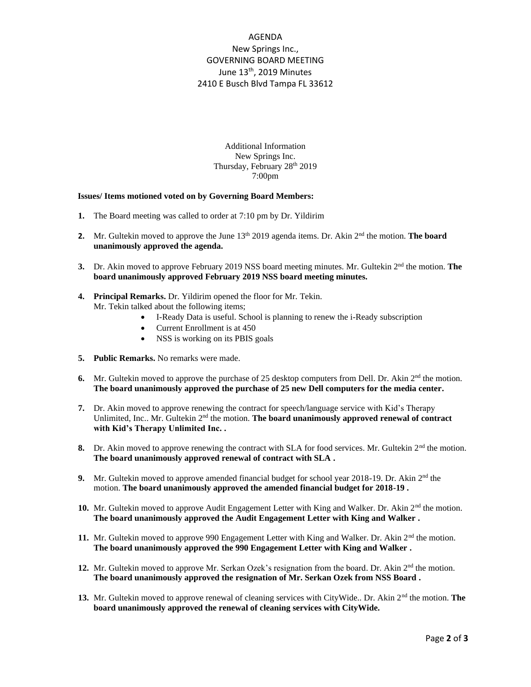## AGENDA New Springs Inc., GOVERNING BOARD MEETING June 13<sup>th</sup>, 2019 Minutes 2410 E Busch Blvd Tampa FL 33612

Additional Information New Springs Inc. Thursday, February 28<sup>th</sup> 2019 7:00pm

## **Issues/ Items motioned voted on by Governing Board Members:**

- **1.** The Board meeting was called to order at 7:10 pm by Dr. Yildirim
- **2.** Mr. Gultekin moved to approve the June 13<sup>th</sup> 2019 agenda items. Dr. Akin 2<sup>nd</sup> the motion. **The board unanimously approved the agenda.**
- 3. Dr. Akin moved to approve February 2019 NSS board meeting minutes. Mr. Gultekin 2<sup>nd</sup> the motion. **The board unanimously approved February 2019 NSS board meeting minutes.**
- **4. Principal Remarks.** Dr. Yildirim opened the floor for Mr. Tekin. Mr. Tekin talked about the following items;
	- I-Ready Data is useful. School is planning to renew the i-Ready subscription
	- Current Enrollment is at 450
	- NSS is working on its PBIS goals
- **5. Public Remarks.** No remarks were made.
- 6. Mr. Gultekin moved to approve the purchase of 25 desktop computers from Dell. Dr. Akin 2<sup>nd</sup> the motion. **The board unanimously approved the purchase of 25 new Dell computers for the media center.**
- **7.** Dr. Akin moved to approve renewing the contract for speech/language service with Kid's Therapy Unlimited, Inc.. Mr. Gultekin 2<sup>nd</sup> the motion. **The board unanimously approved renewal of contract with Kid's Therapy Unlimited Inc. .**
- **8.** Dr. Akin moved to approve renewing the contract with SLA for food services. Mr. Gultekin 2<sup>nd</sup> the motion. **The board unanimously approved renewal of contract with SLA .**
- **9.** Mr. Gultekin moved to approve amended financial budget for school year 2018-19. Dr. Akin  $2<sup>nd</sup>$  the motion. **The board unanimously approved the amended financial budget for 2018-19 .**
- **10.** Mr. Gultekin moved to approve Audit Engagement Letter with King and Walker. Dr. Akin  $2<sup>nd</sup>$  the motion. **The board unanimously approved the Audit Engagement Letter with King and Walker .**
- 11. Mr. Gultekin moved to approve 990 Engagement Letter with King and Walker. Dr. Akin  $2<sup>nd</sup>$  the motion. **The board unanimously approved the 990 Engagement Letter with King and Walker .**
- **12.** Mr. Gultekin moved to approve Mr. Serkan Ozek's resignation from the board. Dr. Akin 2<sup>nd</sup> the motion. **The board unanimously approved the resignation of Mr. Serkan Ozek from NSS Board .**
- **13.** Mr. Gultekin moved to approve renewal of cleaning services with CityWide.. Dr. Akin 2<sup>nd</sup> the motion. **The board unanimously approved the renewal of cleaning services with CityWide.**